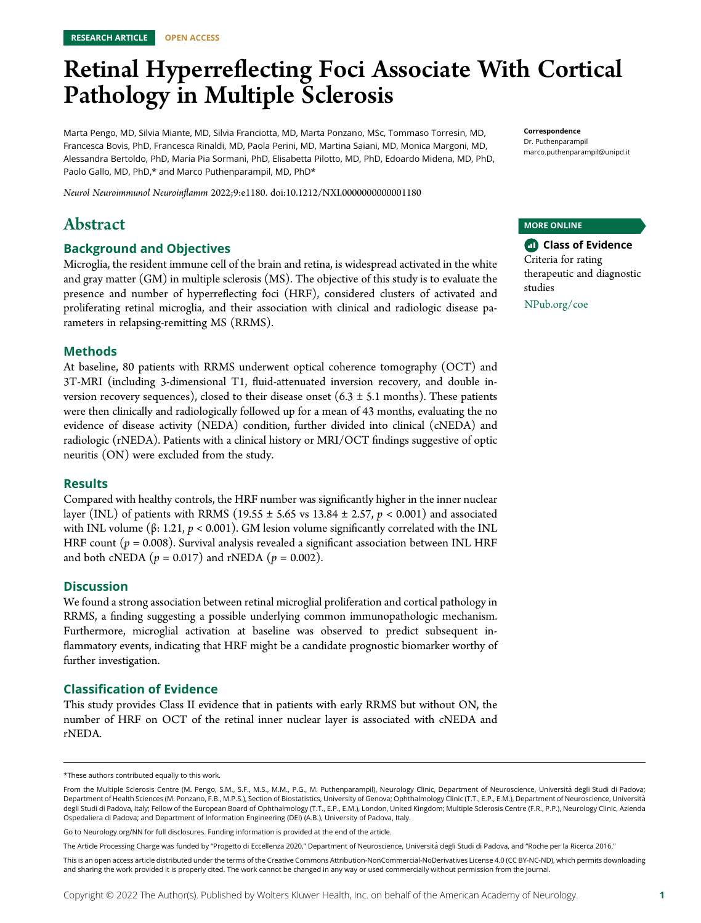# Retinal Hyperreflecting Foci Associate With Cortical Pathology in Multiple Sclerosis

Marta Pengo, MD, Silvia Miante, MD, Silvia Franciotta, MD, Marta Ponzano, MSc, Tommaso Torresin, MD, Francesca Bovis, PhD, Francesca Rinaldi, MD, Paola Perini, MD, Martina Saiani, MD, Monica Margoni, MD, Alessandra Bertoldo, PhD, Maria Pia Sormani, PhD, Elisabetta Pilotto, MD, PhD, Edoardo Midena, MD, PhD, Paolo Gallo, MD, PhD,\* and Marco Puthenparampil, MD, PhD\*

Neurol Neuroimmunol Neuroinflamm 2022;9:e1180. doi[:10.1212/NXI.0000000000001180](http://dx.doi.org/10.1212/NXI.0000000000001180)

# Abstract

#### Background and Objectives

Microglia, the resident immune cell of the brain and retina, is widespread activated in the white and gray matter (GM) in multiple sclerosis (MS). The objective of this study is to evaluate the presence and number of hyperreflecting foci (HRF), considered clusters of activated and proliferating retinal microglia, and their association with clinical and radiologic disease parameters in relapsing-remitting MS (RRMS).

#### Methods

At baseline, 80 patients with RRMS underwent optical coherence tomography (OCT) and 3T-MRI (including 3-dimensional T1, fluid-attenuated inversion recovery, and double inversion recovery sequences), closed to their disease onset  $(6.3 \pm 5.1 \text{ months})$ . These patients were then clinically and radiologically followed up for a mean of 43 months, evaluating the no evidence of disease activity (NEDA) condition, further divided into clinical (cNEDA) and radiologic (rNEDA). Patients with a clinical history or MRI/OCT findings suggestive of optic neuritis (ON) were excluded from the study.

#### Results

Compared with healthy controls, the HRF number was significantly higher in the inner nuclear layer (INL) of patients with RRMS (19.55  $\pm$  5.65 vs 13.84  $\pm$  2.57, p < 0.001) and associated with INL volume (β: 1.21,  $p < 0.001$ ). GM lesion volume significantly correlated with the INL HRF count ( $p = 0.008$ ). Survival analysis revealed a significant association between INL HRF and both cNEDA ( $p = 0.017$ ) and rNEDA ( $p = 0.002$ ).

#### **Discussion**

We found a strong association between retinal microglial proliferation and cortical pathology in RRMS, a finding suggesting a possible underlying common immunopathologic mechanism. Furthermore, microglial activation at baseline was observed to predict subsequent inflammatory events, indicating that HRF might be a candidate prognostic biomarker worthy of further investigation.

#### Classification of Evidence

This study provides Class II evidence that in patients with early RRMS but without ON, the number of HRF on OCT of the retinal inner nuclear layer is associated with cNEDA and rNEDA.

Go to [Neurology.org/NN](https://nn.neurology.org/content/9/4/e1180/tab-article-info) for full disclosures. Funding information is provided at the end of the article.

This is an open access article distributed under the terms of the [Creative Commons Attribution-NonCommercial-NoDerivatives License 4.0 \(CC BY-NC-ND\),](http://creativecommons.org/licenses/by-nc-nd/4.0/) which permits downloading and sharing the work provided it is properly cited. The work cannot be changed in any way or used commercially without permission from the journal.

Correspondence Dr. Puthenparampil [marco.puthenparampil@unipd.it](mailto:marco.puthenparampil@unipd.it)

#### MORE ONLINE

**Class of Evidence** Criteria for rating therapeutic and diagnostic studies

[NPub.org/coe](http://NPub.org/coe)

<sup>\*</sup>These authors contributed equally to this work.

From the Multiple Sclerosis Centre (M. Pengo, S.M., S.F., M.S., M.M., P.G., M. Puthenparampil), Neurology Clinic, Department of Neuroscience, Università degli Studi di Padova; Department of Health Sciences (M. Ponzano, F.B., M.P.S.), Section of Biostatistics, University of Genova; Ophthalmology Clinic (T.T., E.P., E.M.), Department of Neuroscience, Università degli Studi di Padova, Italy; Fellow of the European Board of Ophthalmology (T.T., E.P., E.M.), London, United Kingdom; Multiple Sclerosis Centre (F.R., P.P.), Neurology Clinic, Azienda Ospedaliera di Padova; and Department of Information Engineering (DEI) (A.B.), University of Padova, Italy.

The Article Processing Charge was funded by "Progetto di Eccellenza 2020," Department of Neuroscience, Università degli Studi di Padova, and "Roche per la Ricerca 2016."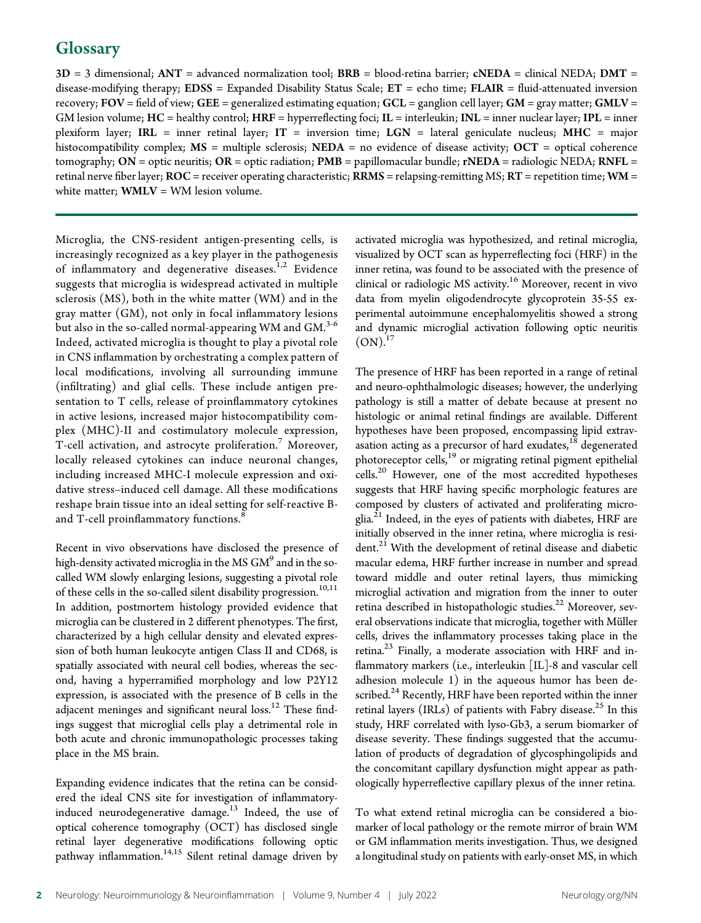# **Glossary**

 $3D = 3$  dimensional;  $ANT =$  advanced normalization tool;  $BRB =$  blood-retina barrier;  $cNEDA =$  clinical NEDA;  $DMT =$ disease-modifying therapy;  $EDSS =$  Expanded Disability Status Scale;  $ET =$  echo time;  $FLAIR =$  fluid-attenuated inversion recovery;  $FOV = field$  of view;  $GE =$  generalized estimating equation;  $GCL =$  ganglion cell layer;  $GM =$  gray matter;  $GMLV =$ GM lesion volume;  $HC =$  healthy control;  $HRF =$  hyperreflecting foci;  $IL =$  interleukin;  $INL =$  inner nuclear layer;  $IPL =$  inner plexiform layer; IRL = inner retinal layer; IT = inversion time; LGN = lateral geniculate nucleus; MHC = major histocompatibility complex;  $MS =$  multiple sclerosis;  $NEDA =$  no evidence of disease activity;  $OCT =$  optical coherence tomography;  $ON =$  optic neuritis;  $OR =$  optic radiation;  $PMB =$  papillomacular bundle; rNEDA = radiologic NEDA; RNFL = retinal nerve fiber layer;  $ROC = receiver$  operating characteristic;  $RRMS =$  relapsing-remitting  $MS$ ;  $RT =$  repetition time;  $WM =$ white matter;  $\text{WMLV} = \text{WM}$  lesion volume.

Microglia, the CNS-resident antigen-presenting cells, is increasingly recognized as a key player in the pathogenesis of inflammatory and degenerative diseases.<sup>1,2</sup> Evidence suggests that microglia is widespread activated in multiple sclerosis (MS), both in the white matter (WM) and in the gray matter (GM), not only in focal inflammatory lesions but also in the so-called normal-appearing WM and GM. $^{3\text{-}6}$ Indeed, activated microglia is thought to play a pivotal role in CNS inflammation by orchestrating a complex pattern of local modifications, involving all surrounding immune (infiltrating) and glial cells. These include antigen presentation to T cells, release of proinflammatory cytokines in active lesions, increased major histocompatibility complex (MHC)-II and costimulatory molecule expression, T-cell activation, and astrocyte proliferation.<sup>7</sup> Moreover, locally released cytokines can induce neuronal changes, including increased MHC-I molecule expression and oxidative stress–induced cell damage. All these modifications reshape brain tissue into an ideal setting for self-reactive Band T-cell proinflammatory functions.<sup>8</sup>

Recent in vivo observations have disclosed the presence of high-density activated microglia in the MS  $GM<sup>9</sup>$  and in the socalled WM slowly enlarging lesions, suggesting a pivotal role of these cells in the so-called silent disability progression.<sup>10,11</sup> In addition, postmortem histology provided evidence that microglia can be clustered in 2 different phenotypes. The first, characterized by a high cellular density and elevated expression of both human leukocyte antigen Class II and CD68, is spatially associated with neural cell bodies, whereas the second, having a hyperramified morphology and low P2Y12 expression, is associated with the presence of B cells in the adjacent meninges and significant neural  $loss<sup>12</sup>$  These findings suggest that microglial cells play a detrimental role in both acute and chronic immunopathologic processes taking place in the MS brain.

Expanding evidence indicates that the retina can be considered the ideal CNS site for investigation of inflammatoryinduced neurodegenerative damage.<sup>13</sup> Indeed, the use of optical coherence tomography (OCT) has disclosed single retinal layer degenerative modifications following optic pathway inflammation.<sup>14,15</sup> Silent retinal damage driven by

activated microglia was hypothesized, and retinal microglia, visualized by OCT scan as hyperreflecting foci (HRF) in the inner retina, was found to be associated with the presence of clinical or radiologic MS activity.<sup>16</sup> Moreover, recent in vivo data from myelin oligodendrocyte glycoprotein 35-55 experimental autoimmune encephalomyelitis showed a strong and dynamic microglial activation following optic neuritis  $(ON).^{17}$ 

The presence of HRF has been reported in a range of retinal and neuro-ophthalmologic diseases; however, the underlying pathology is still a matter of debate because at present no histologic or animal retinal findings are available. Different hypotheses have been proposed, encompassing lipid extravasation acting as a precursor of hard exudates, $1^8$  degenerated photoreceptor cells,<sup>19</sup> or migrating retinal pigment epithelial cells.<sup>20</sup> However, one of the most accredited hypotheses suggests that HRF having specific morphologic features are composed by clusters of activated and proliferating microglia.<sup>21</sup> Indeed, in the eyes of patients with diabetes, HRF are initially observed in the inner retina, where microglia is resident.<sup>21</sup> With the development of retinal disease and diabetic macular edema, HRF further increase in number and spread toward middle and outer retinal layers, thus mimicking microglial activation and migration from the inner to outer retina described in histopathologic studies.<sup>22</sup> Moreover, several observations indicate that microglia, together with Müller cells, drives the inflammatory processes taking place in the retina.<sup>23</sup> Finally, a moderate association with HRF and inflammatory markers (i.e., interleukin [IL]-8 and vascular cell adhesion molecule 1) in the aqueous humor has been described. $^{24}$  Recently, HRF have been reported within the inner retinal layers (IRLs) of patients with Fabry disease.<sup>25</sup> In this study, HRF correlated with lyso-Gb3, a serum biomarker of disease severity. These findings suggested that the accumulation of products of degradation of glycosphingolipids and the concomitant capillary dysfunction might appear as pathologically hyperreflective capillary plexus of the inner retina.

To what extend retinal microglia can be considered a biomarker of local pathology or the remote mirror of brain WM or GM inflammation merits investigation. Thus, we designed a longitudinal study on patients with early-onset MS, in which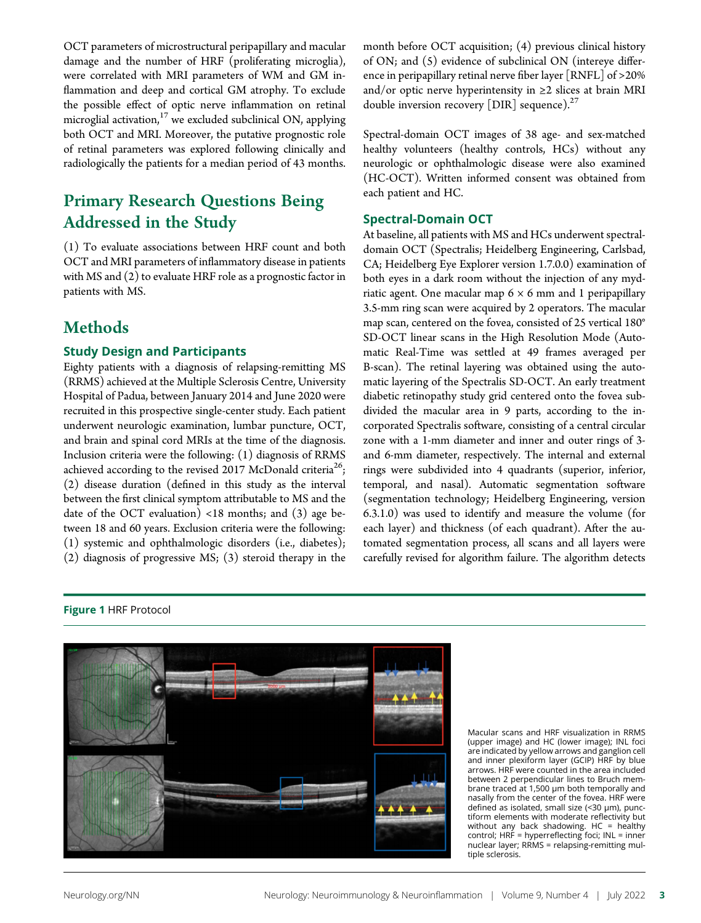OCT parameters of microstructural peripapillary and macular damage and the number of HRF (proliferating microglia), were correlated with MRI parameters of WM and GM inflammation and deep and cortical GM atrophy. To exclude the possible effect of optic nerve inflammation on retinal microglial activation, $17$  we excluded subclinical ON, applying both OCT and MRI. Moreover, the putative prognostic role of retinal parameters was explored following clinically and radiologically the patients for a median period of 43 months.

# Primary Research Questions Being Addressed in the Study

(1) To evaluate associations between HRF count and both OCT and MRI parameters of inflammatory disease in patients with MS and (2) to evaluate HRF role as a prognostic factor in patients with MS.

# **Methods**

## Study Design and Participants

Eighty patients with a diagnosis of relapsing-remitting MS (RRMS) achieved at the Multiple Sclerosis Centre, University Hospital of Padua, between January 2014 and June 2020 were recruited in this prospective single-center study. Each patient underwent neurologic examination, lumbar puncture, OCT, and brain and spinal cord MRIs at the time of the diagnosis. Inclusion criteria were the following: (1) diagnosis of RRMS achieved according to the revised 2017 McDonald criteria<sup>26</sup>; (2) disease duration (defined in this study as the interval between the first clinical symptom attributable to MS and the date of the OCT evaluation)  $<18$  months; and  $(3)$  age between 18 and 60 years. Exclusion criteria were the following: (1) systemic and ophthalmologic disorders (i.e., diabetes); (2) diagnosis of progressive MS; (3) steroid therapy in the month before OCT acquisition; (4) previous clinical history of ON; and (5) evidence of subclinical ON (intereye difference in peripapillary retinal nerve fiber layer [RNFL] of >20% and/or optic nerve hyperintensity in  $\geq 2$  slices at brain MRI double inversion recovery [DIR] sequence). $27$ 

Spectral-domain OCT images of 38 age- and sex-matched healthy volunteers (healthy controls, HCs) without any neurologic or ophthalmologic disease were also examined (HC-OCT). Written informed consent was obtained from each patient and HC.

## Spectral-Domain OCT

At baseline, all patients with MS and HCs underwent spectraldomain OCT (Spectralis; Heidelberg Engineering, Carlsbad, CA; Heidelberg Eye Explorer version 1.7.0.0) examination of both eyes in a dark room without the injection of any mydriatic agent. One macular map  $6 \times 6$  mm and 1 peripapillary 3.5-mm ring scan were acquired by 2 operators. The macular map scan, centered on the fovea, consisted of 25 vertical 180° SD-OCT linear scans in the High Resolution Mode (Automatic Real-Time was settled at 49 frames averaged per B-scan). The retinal layering was obtained using the automatic layering of the Spectralis SD-OCT. An early treatment diabetic retinopathy study grid centered onto the fovea subdivided the macular area in 9 parts, according to the incorporated Spectralis software, consisting of a central circular zone with a 1-mm diameter and inner and outer rings of 3 and 6-mm diameter, respectively. The internal and external rings were subdivided into 4 quadrants (superior, inferior, temporal, and nasal). Automatic segmentation software (segmentation technology; Heidelberg Engineering, version 6.3.1.0) was used to identify and measure the volume (for each layer) and thickness (of each quadrant). After the automated segmentation process, all scans and all layers were carefully revised for algorithm failure. The algorithm detects



Macular scans and HRF visualization in RRMS (upper image) and HC (lower image); INL foci are indicated by yellow arrows and ganglion cell and inner plexiform layer (GCIP) HRF by blue arrows. HRF were counted in the area included between 2 perpendicular lines to Bruch membrane traced at 1,500 μm both temporally and nasally from the center of the fovea. HRF were defined as isolated, small size (<30 μm), punctiform elements with moderate reflectivity but without any back shadowing. HC = healthy control; HRF = hyperreflecting foci; INL = inner nuclear layer; RRMS = relapsing-remitting multiple sclerosis.

# Figure 1 HRF Protocol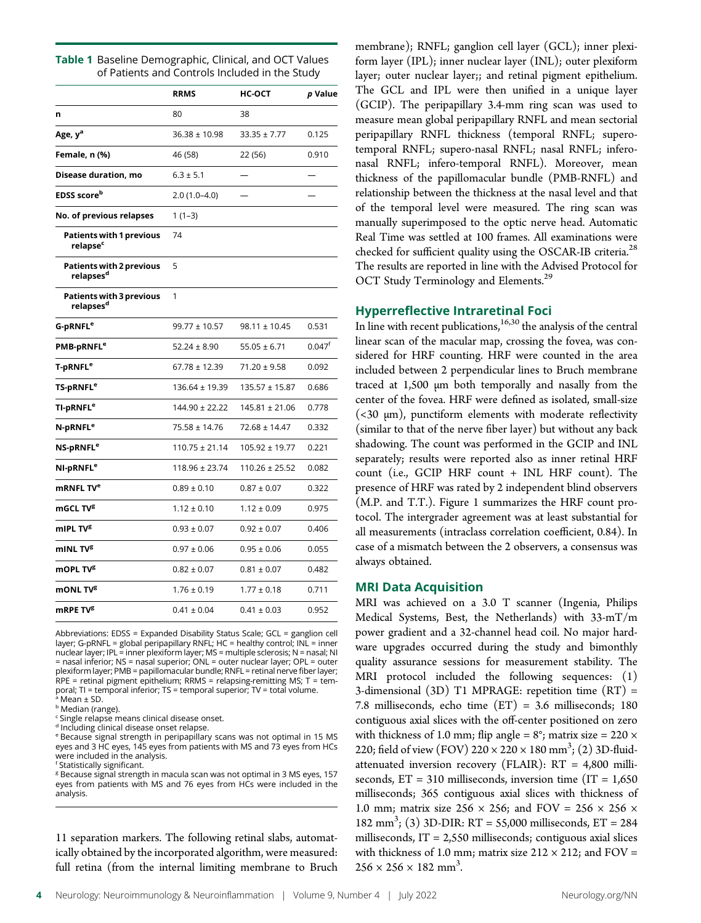| Table 1 Baseline Demographic, Clinical, and OCT Values |
|--------------------------------------------------------|
| of Patients and Controls Included in the Study         |

|                                                          | <b>RRMS</b>        | нс-ост             | p Value            |
|----------------------------------------------------------|--------------------|--------------------|--------------------|
| n                                                        | 80                 | 38                 |                    |
| Age, y <sup>a</sup>                                      | $36.38 \pm 10.98$  | $33.35 \pm 7.77$   | 0.125              |
| Female, n (%)                                            | 46 (58)            | 22 (56)            | 0.910              |
| Disease duration, mo                                     | $6.3 \pm 5.1$      |                    |                    |
| EDSS score <sup>b</sup>                                  | 2.0 (1.0–4.0)      |                    |                    |
| No. of previous relapses                                 | $1(1-3)$           |                    |                    |
| <b>Patients with 1 previous</b><br>relapse <sup>c</sup>  | 74                 |                    |                    |
| <b>Patients with 2 previous</b><br>relapses <sup>d</sup> | 5                  |                    |                    |
| <b>Patients with 3 previous</b><br>relapses <sup>d</sup> | 1                  |                    |                    |
| G-pRNFL <sup>e</sup>                                     | $99.77 \pm 10.57$  | $98.11 \pm 10.45$  | 0.531              |
| PMB-pRNFL <sup>e</sup>                                   | $52.24 \pm 8.90$   | $55.05 \pm 6.71$   | 0.047 <sup>f</sup> |
| T-pRNFL <sup>e</sup>                                     | 67.78 ± 12.39      | $71.20 \pm 9.58$   | 0.092              |
| TS-pRNFL <sup>e</sup>                                    | $136.64 \pm 19.39$ | 135.57 ± 15.87     | 0.686              |
| TI-pRNFL <sup>e</sup>                                    | 144.90 ± 22.22     | 145.81 ± 21.06     | 0.778              |
| N-pRNFL <sup>e</sup>                                     | $75.58 \pm 14.76$  | $72.68 \pm 14.47$  | 0.332              |
| NS-pRNFL <sup>e</sup>                                    | $110.75 \pm 21.14$ | 105.92 ± 19.77     | 0.221              |
| NI-pRNFL <sup>e</sup>                                    | 118.96 ± 23.74     | $110.26 \pm 25.52$ | 0.082              |
| mRNFL TV <sup>e</sup>                                    | $0.89\pm0.10$      | $0.87 \pm 0.07$    | 0.322              |
| mGCL TV <sup>g</sup>                                     | $1.12 \pm 0.10$    | $1.12 \pm 0.09$    | 0.975              |
| mIPL TV <sup>g</sup>                                     | $0.93 \pm 0.07$    | $0.92 \pm 0.07$    | 0.406              |
| mINL TV <sup>g</sup>                                     | $0.97 \pm 0.06$    | $0.95 \pm 0.06$    | 0.055              |
| mOPL TV <sup>g</sup>                                     | $0.82 \pm 0.07$    | $0.81 \pm 0.07$    | 0.482              |
| mONL TV <sup>g</sup>                                     | $1.76 \pm 0.19$    | $1.77 \pm 0.18$    | 0.711              |
| mRPE TV <sup>g</sup>                                     | $0.41 \pm 0.04$    | $0.41 \pm 0.03$    | 0.952              |

Abbreviations: EDSS = Expanded Disability Status Scale; GCL = ganglion cell layer; G-pRNFL = global peripapillary RNFL; HC = healthy control; INL = inner nuclear layer; IPL = inner plexiform layer; MS = multiple sclerosis; N = nasal; NI = nasal inferior; NS = nasal superior; ONL = outer nuclear layer; OPL = outer plexiform layer; PMB = papillomacular bundle; RNFL = retinal nerve fiber layer; RPE = retinal pigment epithelium; RRMS = relapsing-remitting MS; T = temporal; TI = temporal inferior; TS = temporal superior; TV = total volume.

<sup>a</sup> Mean ± SD.

**b** Median (range).

<sup>c</sup> Single relapse means clinical disease onset.

<sup>d</sup> Including clinical disease onset relapse.

<sup>e</sup> Because signal strength in peripapillary scans was not optimal in 15 MS eyes and 3 HC eyes, 145 eyes from patients with MS and 73 eyes from HCs were included in the analysis. f Statistically significant.

<sup>g</sup> Because signal strength in macula scan was not optimal in 3 MS eyes, 157 eyes from patients with MS and 76 eyes from HCs were included in the analysis.

11 separation markers. The following retinal slabs, automatically obtained by the incorporated algorithm, were measured: full retina (from the internal limiting membrane to Bruch membrane); RNFL; ganglion cell layer (GCL); inner plexiform layer (IPL); inner nuclear layer (INL); outer plexiform layer; outer nuclear layer;; and retinal pigment epithelium. The GCL and IPL were then unified in a unique layer (GCIP). The peripapillary 3.4-mm ring scan was used to measure mean global peripapillary RNFL and mean sectorial peripapillary RNFL thickness (temporal RNFL; superotemporal RNFL; supero-nasal RNFL; nasal RNFL; inferonasal RNFL; infero-temporal RNFL). Moreover, mean thickness of the papillomacular bundle (PMB-RNFL) and relationship between the thickness at the nasal level and that of the temporal level were measured. The ring scan was manually superimposed to the optic nerve head. Automatic Real Time was settled at 100 frames. All examinations were checked for sufficient quality using the OSCAR-IB criteria.<sup>28</sup> The results are reported in line with the Advised Protocol for OCT Study Terminology and Elements.<sup>29</sup>

## Hyperreflective Intraretinal Foci

In line with recent publications, $16,30$  the analysis of the central linear scan of the macular map, crossing the fovea, was considered for HRF counting. HRF were counted in the area included between 2 perpendicular lines to Bruch membrane traced at 1,500 μm both temporally and nasally from the center of the fovea. HRF were defined as isolated, small-size (<30 μm), punctiform elements with moderate reflectivity (similar to that of the nerve fiber layer) but without any back shadowing. The count was performed in the GCIP and INL separately; results were reported also as inner retinal HRF count (i.e., GCIP HRF count + INL HRF count). The presence of HRF was rated by 2 independent blind observers (M.P. and T.T.). Figure 1 summarizes the HRF count protocol. The intergrader agreement was at least substantial for all measurements (intraclass correlation coefficient, 0.84). In case of a mismatch between the 2 observers, a consensus was always obtained.

#### MRI Data Acquisition

MRI was achieved on a 3.0 T scanner (Ingenia, Philips Medical Systems, Best, the Netherlands) with 33-mT/m power gradient and a 32-channel head coil. No major hardware upgrades occurred during the study and bimonthly quality assurance sessions for measurement stability. The MRI protocol included the following sequences: (1) 3-dimensional (3D) T1 MPRAGE: repetition time (RT) = 7.8 milliseconds, echo time (ET) = 3.6 milliseconds; 180 contiguous axial slices with the off-center positioned on zero with thickness of 1.0 mm; flip angle =  $8^\circ$ ; matrix size = 220  $\times$ 220; field of view (FOV)  $220 \times 220 \times 180$  mm<sup>3</sup>; (2) 3D-fluidattenuated inversion recovery (FLAIR): RT = 4,800 milliseconds,  $ET = 310$  milliseconds, inversion time  $(IT = 1,650)$ milliseconds; 365 contiguous axial slices with thickness of 1.0 mm; matrix size  $256 \times 256$ ; and  $FOV = 256 \times 256 \times$ 182 mm3 ; (3) 3D-DIR: RT = 55,000 milliseconds, ET = 284 milliseconds,  $IT = 2,550$  milliseconds; contiguous axial slices with thickness of 1.0 mm; matrix size  $212 \times 212$ ; and  $FOV =$  $256 \times 256 \times 182$  mm<sup>3</sup>. .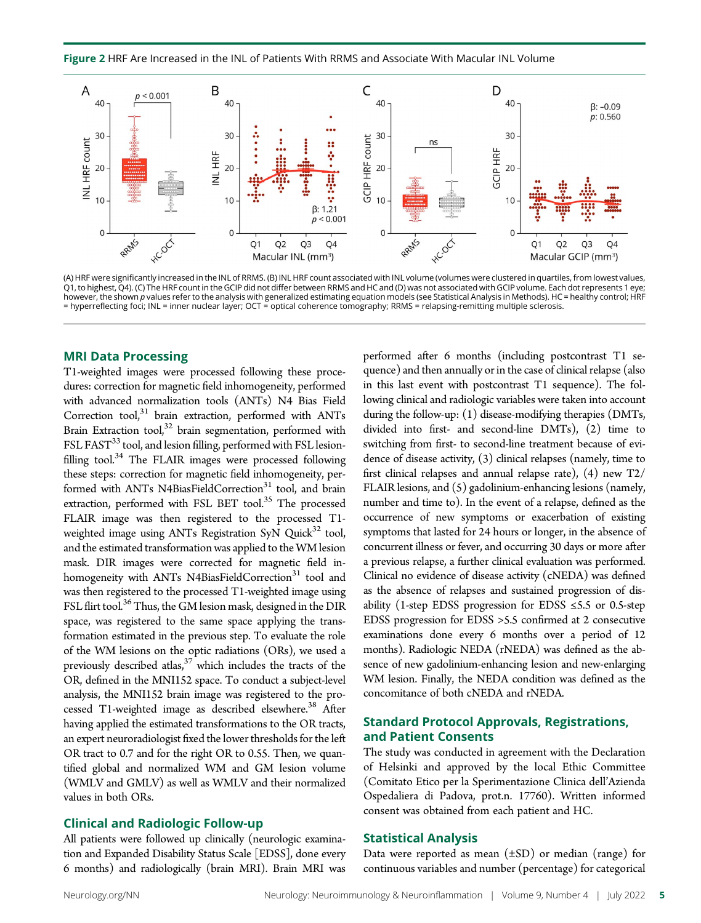Figure 2 HRF Are Increased in the INL of Patients With RRMS and Associate With Macular INL Volume



(A) HRF were significantly increased in the INL of RRMS. (B) INL HRF count associated with INL volume (volumes were clustered in quartiles, from lowest values, Q1, to highest, Q4). (C) The HRF count in the GCIP did not differ between RRMS and HC and (D) was not associated with GCIP volume. Each dot represents 1 eye; however, the shown p values refer to the analysis with generalized estimating equation models (see Statistical Analysis in Methods). HC = healthy control; HRF = hyperreflecting foci; INL = inner nuclear layer; OCT = optical coherence tomography; RRMS = relapsing-remitting multiple sclerosis.

#### MRI Data Processing

T1-weighted images were processed following these procedures: correction for magnetic field inhomogeneity, performed with advanced normalization tools (ANTs) N4 Bias Field Correction tool, $31$  brain extraction, performed with ANTs Brain Extraction tool, $32$  brain segmentation, performed with FSL FAST<sup>33</sup> tool, and lesion filling, performed with FSL lesionfilling tool. $34$  The FLAIR images were processed following these steps: correction for magnetic field inhomogeneity, performed with ANTs N4BiasFieldCorrection<sup>31</sup> tool, and brain extraction, performed with FSL BET tool.<sup>35</sup> The processed FLAIR image was then registered to the processed T1 weighted image using ANTs Registration SyN Quick $32$  tool, and the estimated transformation was applied to the WM lesion mask. DIR images were corrected for magnetic field inhomogeneity with ANTs N4BiasFieldCorrection<sup>31</sup> tool and was then registered to the processed T1-weighted image using FSL flirt tool.<sup>36</sup> Thus, the GM lesion mask, designed in the DIR space, was registered to the same space applying the transformation estimated in the previous step. To evaluate the role of the WM lesions on the optic radiations (ORs), we used a previously described atlas, $37$  which includes the tracts of the OR, defined in the MNI152 space. To conduct a subject-level analysis, the MNI152 brain image was registered to the processed T1-weighted image as described elsewhere.<sup>38</sup> After having applied the estimated transformations to the OR tracts, an expert neuroradiologist fixed the lower thresholds for the left OR tract to 0.7 and for the right OR to 0.55. Then, we quantified global and normalized WM and GM lesion volume (WMLV and GMLV) as well as WMLV and their normalized values in both ORs.

#### Clinical and Radiologic Follow-up

All patients were followed up clinically (neurologic examination and Expanded Disability Status Scale [EDSS], done every 6 months) and radiologically (brain MRI). Brain MRI was

performed after 6 months (including postcontrast T1 sequence) and then annually or in the case of clinical relapse (also in this last event with postcontrast T1 sequence). The following clinical and radiologic variables were taken into account during the follow-up: (1) disease-modifying therapies (DMTs, divided into first- and second-line DMTs), (2) time to switching from first- to second-line treatment because of evidence of disease activity, (3) clinical relapses (namely, time to first clinical relapses and annual relapse rate), (4) new T2/ FLAIR lesions, and (5) gadolinium-enhancing lesions (namely, number and time to). In the event of a relapse, defined as the occurrence of new symptoms or exacerbation of existing symptoms that lasted for 24 hours or longer, in the absence of concurrent illness or fever, and occurring 30 days or more after a previous relapse, a further clinical evaluation was performed. Clinical no evidence of disease activity (cNEDA) was defined as the absence of relapses and sustained progression of disability (1-step EDSS progression for EDSS  $\leq$ 5.5 or 0.5-step EDSS progression for EDSS >5.5 confirmed at 2 consecutive examinations done every 6 months over a period of 12 months). Radiologic NEDA (rNEDA) was defined as the absence of new gadolinium-enhancing lesion and new-enlarging WM lesion. Finally, the NEDA condition was defined as the concomitance of both cNEDA and rNEDA.

#### Standard Protocol Approvals, Registrations, and Patient Consents

The study was conducted in agreement with the Declaration of Helsinki and approved by the local Ethic Committee (Comitato Etico per la Sperimentazione Clinica dell'Azienda Ospedaliera di Padova, prot.n. 17760). Written informed consent was obtained from each patient and HC.

#### Statistical Analysis

Data were reported as mean  $(\pm SD)$  or median (range) for continuous variables and number (percentage) for categorical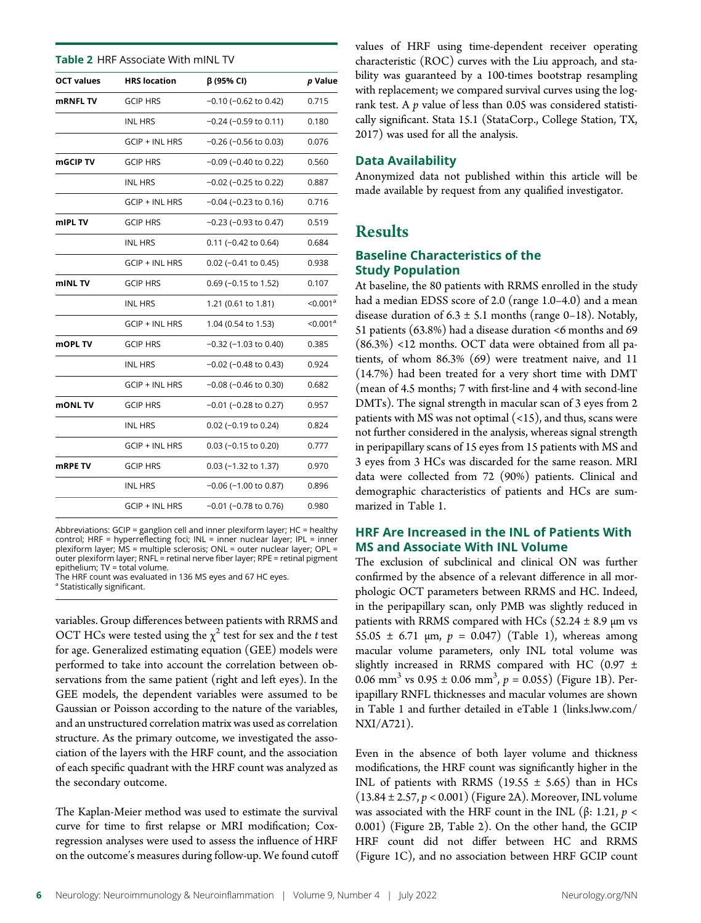| <b>Table 2 HRF Associate With mINL TV</b> |                       |                            |                      |
|-------------------------------------------|-----------------------|----------------------------|----------------------|
| <b>OCT values</b>                         | <b>HRS</b> location   | β (95% CI)                 | p Value              |
| <b>mRNFL TV</b>                           | <b>GCIP HRS</b>       | $-0.10$ ( $-0.62$ to 0.42) | 0.715                |
|                                           | <b>INL HRS</b>        | $-0.24$ ( $-0.59$ to 0.11) | 0.180                |
|                                           | <b>GCIP + INL HRS</b> | $-0.26$ ( $-0.56$ to 0.03) | 0.076                |
| mGCIP TV                                  | <b>GCIP HRS</b>       | $-0.09$ ( $-0.40$ to 0.22) | 0.560                |
|                                           | <b>INL HRS</b>        | $-0.02$ ( $-0.25$ to 0.22) | 0.887                |
|                                           | <b>GCIP + INL HRS</b> | $-0.04$ ( $-0.23$ to 0.16) | 0.716                |
| mIPL TV                                   | <b>GCIP HRS</b>       | $-0.23$ ( $-0.93$ to 0.47) | 0.519                |
|                                           | <b>INL HRS</b>        | $0.11$ (-0.42 to 0.64)     | 0.684                |
|                                           | GCIP + INL HRS        | $0.02$ (-0.41 to 0.45)     | 0.938                |
| mINL TV                                   | <b>GCIP HRS</b>       | $0.69$ (-0.15 to 1.52)     | 0.107                |
|                                           | <b>INL HRS</b>        | 1.21 (0.61 to 1.81)        | < 0.001 <sup>a</sup> |
|                                           | GCIP + INL HRS        | 1.04 (0.54 to 1.53)        | < 0.001 <sup>a</sup> |
| <b>mOPL TV</b>                            | <b>GCIP HRS</b>       | $-0.32$ ( $-1.03$ to 0.40) | 0.385                |
|                                           | <b>INL HRS</b>        | $-0.02$ ( $-0.48$ to 0.43) | 0.924                |
|                                           | <b>GCIP + INL HRS</b> | $-0.08$ ( $-0.46$ to 0.30) | 0.682                |
| <b>mONLTV</b>                             | <b>GCIP HRS</b>       | $-0.01$ ( $-0.28$ to 0.27) | 0.957                |
|                                           | <b>INL HRS</b>        | $0.02$ (-0.19 to 0.24)     | 0.824                |
|                                           | <b>GCIP + INL HRS</b> | $0.03$ (-0.15 to 0.20)     | 0.777                |
| mRPE TV                                   | <b>GCIP HRS</b>       | $0.03$ (-1.32 to 1.37)     | 0.970                |
|                                           | <b>INL HRS</b>        | $-0.06$ ( $-1.00$ to 0.87) | 0.896                |
|                                           | <b>GCIP + INL HRS</b> | $-0.01$ ( $-0.78$ to 0.76) | 0.980                |

Abbreviations: GCIP = ganglion cell and inner plexiform layer; HC = healthy control; HRF = hyperreflecting foci; INL = inner nuclear layer; IPL = inner plexiform layer; MS = multiple sclerosis; ONL = outer nuclear layer; OPL = outer plexiform layer; RNFL = retinal nerve fiber layer; RPE = retinal pigment epithelium; TV = total volume.

The HRF count was evaluated in 136 MS eyes and 67 HC eyes.

<sup>a</sup> Statistically significant.

variables. Group differences between patients with RRMS and OCT HCs were tested using the  $\chi^2$  test for sex and the t test for age. Generalized estimating equation (GEE) models were performed to take into account the correlation between observations from the same patient (right and left eyes). In the GEE models, the dependent variables were assumed to be Gaussian or Poisson according to the nature of the variables, and an unstructured correlation matrix was used as correlation structure. As the primary outcome, we investigated the association of the layers with the HRF count, and the association of each specific quadrant with the HRF count was analyzed as the secondary outcome.

The Kaplan-Meier method was used to estimate the survival curve for time to first relapse or MRI modification; Coxregression analyses were used to assess the influence of HRF on the outcome's measures during follow-up. We found cutoff values of HRF using time-dependent receiver operating characteristic (ROC) curves with the Liu approach, and stability was guaranteed by a 100-times bootstrap resampling with replacement; we compared survival curves using the logrank test. A  $p$  value of less than 0.05 was considered statistically significant. Stata 15.1 (StataCorp., College Station, TX, 2017) was used for all the analysis.

#### Data Availability

Anonymized data not published within this article will be made available by request from any qualified investigator.

# Results

#### Baseline Characteristics of the Study Population

At baseline, the 80 patients with RRMS enrolled in the study had a median EDSS score of 2.0 (range 1.0–4.0) and a mean disease duration of  $6.3 \pm 5.1$  months (range 0–18). Notably, 51 patients (63.8%) had a disease duration <6 months and 69 (86.3%) <12 months. OCT data were obtained from all patients, of whom 86.3% (69) were treatment naive, and 11 (14.7%) had been treated for a very short time with DMT (mean of 4.5 months; 7 with first-line and 4 with second-line DMTs). The signal strength in macular scan of 3 eyes from 2 patients with MS was not optimal  $(\langle 15 \rangle)$ , and thus, scans were not further considered in the analysis, whereas signal strength in peripapillary scans of 15 eyes from 15 patients with MS and 3 eyes from 3 HCs was discarded for the same reason. MRI data were collected from 72 (90%) patients. Clinical and demographic characteristics of patients and HCs are summarized in Table 1.

# HRF Are Increased in the INL of Patients With MS and Associate With INL Volume

The exclusion of subclinical and clinical ON was further confirmed by the absence of a relevant difference in all morphologic OCT parameters between RRMS and HC. Indeed, in the peripapillary scan, only PMB was slightly reduced in patients with RRMS compared with HCs ( $52.24 \pm 8.9$  µm vs 55.05  $\pm$  6.71 µm,  $p = 0.047$ ) (Table 1), whereas among macular volume parameters, only INL total volume was slightly increased in RRMS compared with HC (0.97 ± 0.06 mm<sup>3</sup> vs 0.95  $\pm$  0.06 mm<sup>3</sup>,  $p = 0.055$ ) (Figure 1B). Peripapillary RNFL thicknesses and macular volumes are shown in Table 1 and further detailed in eTable 1 [\(links.lww.com/](http://links.lww.com/NXI/A721) [NXI/A721](http://links.lww.com/NXI/A721)).

Even in the absence of both layer volume and thickness modifications, the HRF count was significantly higher in the INL of patients with RRMS (19.55  $\pm$  5.65) than in HCs  $(13.84 \pm 2.57, p < 0.001)$  (Figure 2A). Moreover, INL volume was associated with the HRF count in the INL (β: 1.21,  $p$  < 0.001) (Figure 2B, Table 2). On the other hand, the GCIP HRF count did not differ between HC and RRMS (Figure 1C), and no association between HRF GCIP count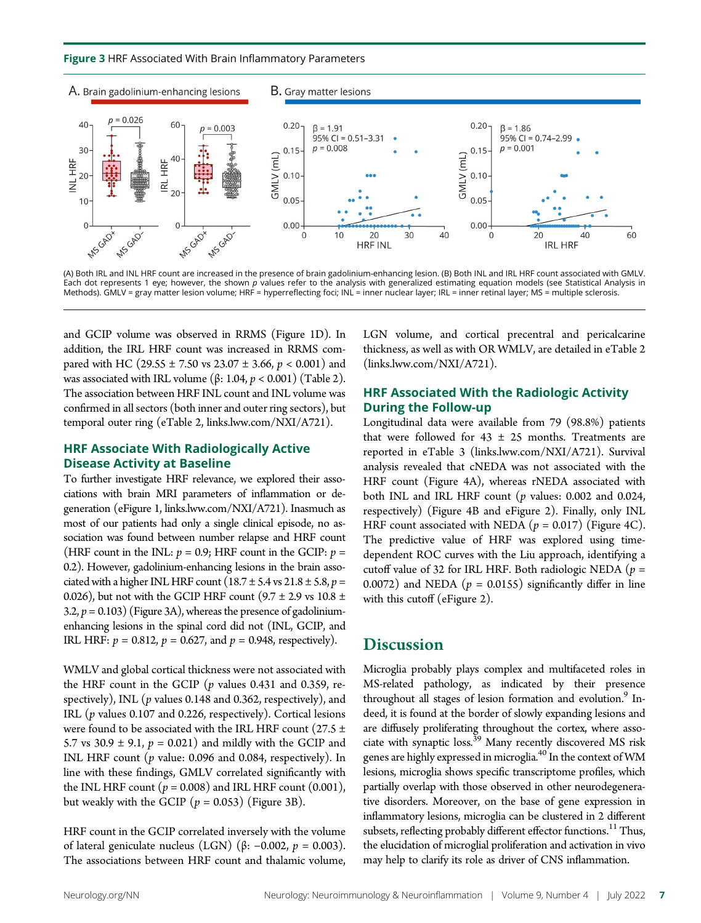Figure 3 HRF Associated With Brain Inflammatory Parameters



(A) Both IRL and INL HRF count are increased in the presence of brain gadolinium-enhancing lesion. (B) Both INL and IRL HRF count associated with GMLV. Each dot represents 1 eye; however, the shown p values refer to the analysis with generalized estimating equation models (see Statistical Analysis in Methods). GMLV = gray matter lesion volume; HRF = hyperreflecting foci; INL = inner nuclear layer; IRL = inner retinal layer; MS = multiple sclerosis.

and GCIP volume was observed in RRMS (Figure 1D). In addition, the IRL HRF count was increased in RRMS compared with HC (29.55  $\pm$  7.50 vs 23.07  $\pm$  3.66, p < 0.001) and was associated with IRL volume (β: 1.04,  $p < 0.001$ ) (Table 2). The association between HRF INL count and INL volume was confirmed in all sectors (both inner and outer ring sectors), but temporal outer ring (eTable 2, [links.lww.com/NXI/A721\)](http://links.lww.com/NXI/A721).

#### HRF Associate With Radiologically Active Disease Activity at Baseline

To further investigate HRF relevance, we explored their associations with brain MRI parameters of inflammation or degeneration (eFigure 1, [links.lww.com/NXI/A721\)](http://links.lww.com/NXI/A721). Inasmuch as most of our patients had only a single clinical episode, no association was found between number relapse and HRF count (HRF count in the INL:  $p = 0.9$ ; HRF count in the GCIP:  $p =$ 0.2). However, gadolinium-enhancing lesions in the brain associated with a higher INL HRF count ( $18.7 \pm 5.4$  vs  $21.8 \pm 5.8$ ,  $p =$ 0.026), but not with the GCIP HRF count ( $9.7 \pm 2.9$  vs  $10.8 \pm$ 3.2,  $p = 0.103$ ) (Figure 3A), whereas the presence of gadoliniumenhancing lesions in the spinal cord did not (INL, GCIP, and IRL HRF:  $p = 0.812$ ,  $p = 0.627$ , and  $p = 0.948$ , respectively).

WMLV and global cortical thickness were not associated with the HRF count in the GCIP ( $p$  values 0.431 and 0.359, respectively), INL ( $p$  values 0.148 and 0.362, respectively), and IRL (p values 0.107 and 0.226, respectively). Cortical lesions were found to be associated with the IRL HRF count (27.5  $\pm$ 5.7 vs 30.9  $\pm$  9.1,  $p = 0.021$ ) and mildly with the GCIP and INL HRF count ( $p$  value: 0.096 and 0.084, respectively). In line with these findings, GMLV correlated significantly with the INL HRF count ( $p = 0.008$ ) and IRL HRF count (0.001), but weakly with the GCIP ( $p = 0.053$ ) (Figure 3B).

HRF count in the GCIP correlated inversely with the volume of lateral geniculate nucleus (LGN) (β: −0.002, p = 0.003). The associations between HRF count and thalamic volume,

LGN volume, and cortical precentral and pericalcarine thickness, as well as with OR WMLV, are detailed in eTable 2 ([links.lww.com/NXI/A721\)](http://links.lww.com/NXI/A721).

# HRF Associated With the Radiologic Activity During the Follow-up

Longitudinal data were available from 79 (98.8%) patients that were followed for  $43 \pm 25$  months. Treatments are reported in eTable 3 ([links.lww.com/NXI/A721](http://links.lww.com/NXI/A721)). Survival analysis revealed that cNEDA was not associated with the HRF count (Figure 4A), whereas rNEDA associated with both INL and IRL HRF count  $(p \text{ values: } 0.002 \text{ and } 0.024,$ respectively) (Figure 4B and eFigure 2). Finally, only INL HRF count associated with NEDA ( $p = 0.017$ ) (Figure 4C). The predictive value of HRF was explored using timedependent ROC curves with the Liu approach, identifying a cutoff value of 32 for IRL HRF. Both radiologic NEDA ( $p =$ 0.0072) and NEDA ( $p = 0.0155$ ) significantly differ in line with this cutoff (eFigure 2).

# **Discussion**

Microglia probably plays complex and multifaceted roles in MS-related pathology, as indicated by their presence throughout all stages of lesion formation and evolution.<sup>9</sup> Indeed, it is found at the border of slowly expanding lesions and are diffusely proliferating throughout the cortex, where associate with synaptic loss.<sup>39</sup> Many recently discovered MS risk genes are highly expressed in microglia. $^{40}$  In the context of  $\rm W\rm M$ lesions, microglia shows specific transcriptome profiles, which partially overlap with those observed in other neurodegenerative disorders. Moreover, on the base of gene expression in inflammatory lesions, microglia can be clustered in 2 different subsets, reflecting probably different effector functions.<sup>11</sup> Thus, the elucidation of microglial proliferation and activation in vivo may help to clarify its role as driver of CNS inflammation.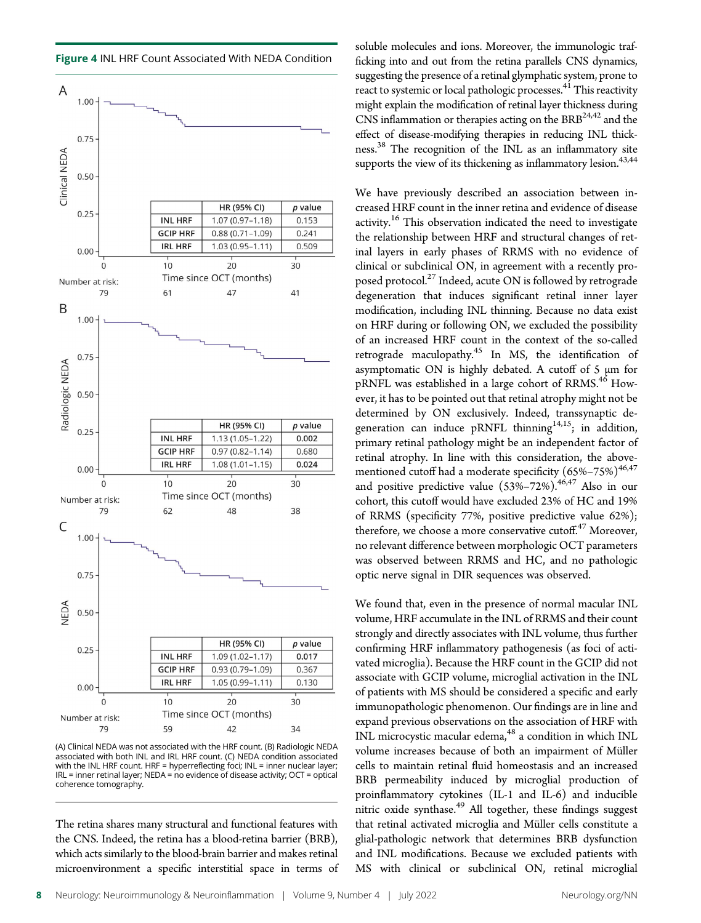Figure 4 INL HRF Count Associated With NEDA Condition



(A) Clinical NEDA was not associated with the HRF count. (B) Radiologic NEDA associated with both INL and IRL HRF count. (C) NEDA condition associated with the INL HRF count. HRF = hyperreflecting foci; INL = inner nuclear layer; IRL = inner retinal layer; NEDA = no evidence of disease activity; OCT = optical coherence tomography.

The retina shares many structural and functional features with the CNS. Indeed, the retina has a blood-retina barrier (BRB), which acts similarly to the blood-brain barrier and makes retinal microenvironment a specific interstitial space in terms of soluble molecules and ions. Moreover, the immunologic trafficking into and out from the retina parallels CNS dynamics, suggesting the presence of a retinal glymphatic system, prone to react to systemic or local pathologic processes.<sup>41</sup> This reactivity might explain the modification of retinal layer thickness during CNS inflammation or therapies acting on the  $\rm{BRB}^{24,42}$  and the effect of disease-modifying therapies in reducing INL thickness.<sup>38</sup> The recognition of the INL as an inflammatory site supports the view of its thickening as inflammatory lesion. $43,44$ 

We have previously described an association between increased HRF count in the inner retina and evidence of disease activity.<sup>16</sup> This observation indicated the need to investigate the relationship between HRF and structural changes of retinal layers in early phases of RRMS with no evidence of clinical or subclinical ON, in agreement with a recently proposed protocol.<sup>27</sup> Indeed, acute ON is followed by retrograde degeneration that induces significant retinal inner layer modification, including INL thinning. Because no data exist on HRF during or following ON, we excluded the possibility of an increased HRF count in the context of the so-called retrograde maculopathy. $45$  In MS, the identification of asymptomatic ON is highly debated. A cutoff of 5 μm for pRNFL was established in a large cohort of RRMS.<sup>46</sup> However, it has to be pointed out that retinal atrophy might not be determined by ON exclusively. Indeed, transsynaptic degeneration can induce pRNFL thinning<sup>14,15</sup>; in addition, primary retinal pathology might be an independent factor of retinal atrophy. In line with this consideration, the abovementioned cutoff had a moderate specificity  $(65\% - 75\%)^{46,47}$ and positive predictive value  $(53\% - 72\%)$ .<sup>46,47</sup> Also in our cohort, this cutoff would have excluded 23% of HC and 19% of RRMS (specificity 77%, positive predictive value 62%); therefore, we choose a more conservative cutoff. <sup>47</sup> Moreover, no relevant difference between morphologic OCT parameters was observed between RRMS and HC, and no pathologic optic nerve signal in DIR sequences was observed.

We found that, even in the presence of normal macular INL volume, HRF accumulate in the INL of RRMS and their count strongly and directly associates with INL volume, thus further confirming HRF inflammatory pathogenesis (as foci of activated microglia). Because the HRF count in the GCIP did not associate with GCIP volume, microglial activation in the INL of patients with MS should be considered a specific and early immunopathologic phenomenon. Our findings are in line and expand previous observations on the association of HRF with INL microcystic macular edema, $48$  a condition in which INL volume increases because of both an impairment of Müller cells to maintain retinal fluid homeostasis and an increased BRB permeability induced by microglial production of proinflammatory cytokines (IL-1 and IL-6) and inducible nitric oxide synthase. $49$  All together, these findings suggest that retinal activated microglia and Müller cells constitute a glial-pathologic network that determines BRB dysfunction and INL modifications. Because we excluded patients with MS with clinical or subclinical ON, retinal microglial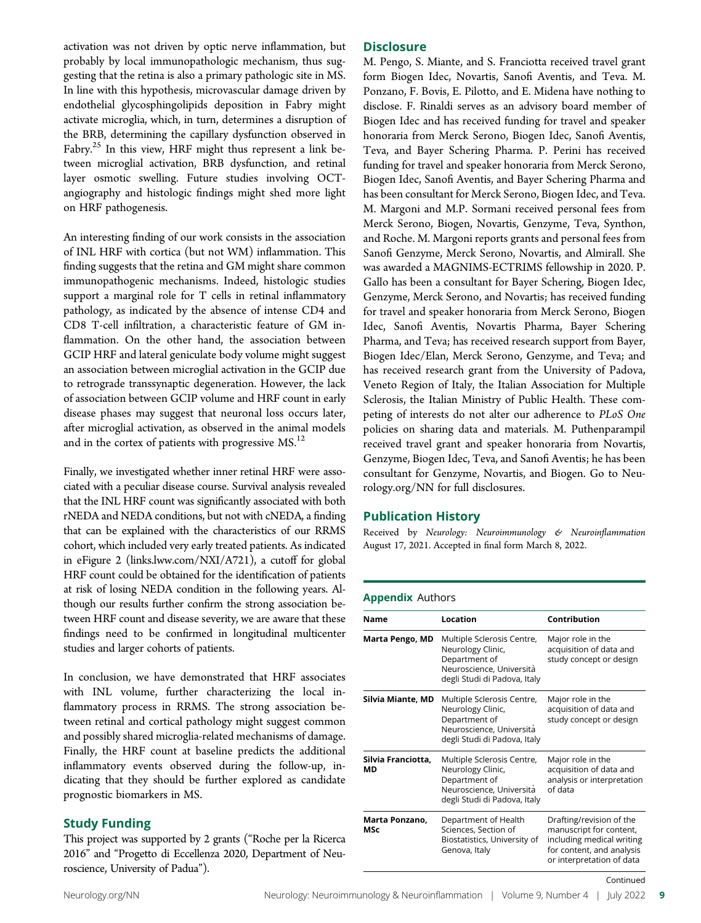activation was not driven by optic nerve inflammation, but probably by local immunopathologic mechanism, thus suggesting that the retina is also a primary pathologic site in MS. In line with this hypothesis, microvascular damage driven by endothelial glycosphingolipids deposition in Fabry might activate microglia, which, in turn, determines a disruption of the BRB, determining the capillary dysfunction observed in Fabry.<sup>25</sup> In this view, HRF might thus represent a link between microglial activation, BRB dysfunction, and retinal layer osmotic swelling. Future studies involving OCTangiography and histologic findings might shed more light on HRF pathogenesis.

An interesting finding of our work consists in the association of INL HRF with cortica (but not WM) inflammation. This finding suggests that the retina and GM might share common immunopathogenic mechanisms. Indeed, histologic studies support a marginal role for T cells in retinal inflammatory pathology, as indicated by the absence of intense CD4 and CD8 T-cell infiltration, a characteristic feature of GM inflammation. On the other hand, the association between GCIP HRF and lateral geniculate body volume might suggest an association between microglial activation in the GCIP due to retrograde transsynaptic degeneration. However, the lack of association between GCIP volume and HRF count in early disease phases may suggest that neuronal loss occurs later, after microglial activation, as observed in the animal models and in the cortex of patients with progressive  $MS<sup>12</sup>$ .

Finally, we investigated whether inner retinal HRF were associated with a peculiar disease course. Survival analysis revealed that the INL HRF count was significantly associated with both rNEDA and NEDA conditions, but not with cNEDA, a finding that can be explained with the characteristics of our RRMS cohort, which included very early treated patients. As indicated in eFigure 2 ([links.lww.com/NXI/A721](http://links.lww.com/NXI/A721)), a cutoff for global HRF count could be obtained for the identification of patients at risk of losing NEDA condition in the following years. Although our results further confirm the strong association between HRF count and disease severity, we are aware that these findings need to be confirmed in longitudinal multicenter studies and larger cohorts of patients.

In conclusion, we have demonstrated that HRF associates with INL volume, further characterizing the local inflammatory process in RRMS. The strong association between retinal and cortical pathology might suggest common and possibly shared microglia-related mechanisms of damage. Finally, the HRF count at baseline predicts the additional inflammatory events observed during the follow-up, indicating that they should be further explored as candidate prognostic biomarkers in MS.

#### Study Funding

This project was supported by 2 grants ("Roche per la Ricerca 2016" and "Progetto di Eccellenza 2020, Department of Neuroscience, University of Padua").

#### **Disclosure**

M. Pengo, S. Miante, and S. Franciotta received travel grant form Biogen Idec, Novartis, Sanofi Aventis, and Teva. M. Ponzano, F. Bovis, E. Pilotto, and E. Midena have nothing to disclose. F. Rinaldi serves as an advisory board member of Biogen Idec and has received funding for travel and speaker honoraria from Merck Serono, Biogen Idec, Sanofi Aventis, Teva, and Bayer Schering Pharma. P. Perini has received funding for travel and speaker honoraria from Merck Serono, Biogen Idec, Sanofi Aventis, and Bayer Schering Pharma and has been consultant for Merck Serono, Biogen Idec, and Teva. M. Margoni and M.P. Sormani received personal fees from Merck Serono, Biogen, Novartis, Genzyme, Teva, Synthon, and Roche. M. Margoni reports grants and personal fees from Sanofi Genzyme, Merck Serono, Novartis, and Almirall. She was awarded a MAGNIMS-ECTRIMS fellowship in 2020. P. Gallo has been a consultant for Bayer Schering, Biogen Idec, Genzyme, Merck Serono, and Novartis; has received funding for travel and speaker honoraria from Merck Serono, Biogen Idec, Sanofi Aventis, Novartis Pharma, Bayer Schering Pharma, and Teva; has received research support from Bayer, Biogen Idec/Elan, Merck Serono, Genzyme, and Teva; and has received research grant from the University of Padova, Veneto Region of Italy, the Italian Association for Multiple Sclerosis, the Italian Ministry of Public Health. These competing of interests do not alter our adherence to PLoS One policies on sharing data and materials. M. Puthenparampil received travel grant and speaker honoraria from Novartis, Genzyme, Biogen Idec, Teva, and Sanofi Aventis; he has been consultant for Genzyme, Novartis, and Biogen. Go to [Neu](https://nn.neurology.org/content/9/4/e1180/tab-article-info)[rology.org/NN](https://nn.neurology.org/content/9/4/e1180/tab-article-info) for full disclosures.

## Publication History

Received by Neurology: Neuroimmunology & Neuroinflammation August 17, 2021. Accepted in final form March 8, 2022.

## Appendix Authors

| <b>Name</b>              | Location                                                                                                                     | Contribution                                                                                                                               |
|--------------------------|------------------------------------------------------------------------------------------------------------------------------|--------------------------------------------------------------------------------------------------------------------------------------------|
| <b>Marta Pengo, MD</b>   | Multiple Sclerosis Centre,<br>Neurology Clinic,<br>Department of<br>Neuroscience, Università<br>degli Studi di Padova, Italy | Major role in the<br>acquisition of data and<br>study concept or design                                                                    |
| Silvia Miante, MD        | Multiple Sclerosis Centre,<br>Neurology Clinic,<br>Department of<br>Neuroscience, Università<br>degli Studi di Padova, Italy | Major role in the<br>acquisition of data and<br>study concept or design                                                                    |
| Silvia Franciotta,<br>МD | Multiple Sclerosis Centre,<br>Neurology Clinic,<br>Department of<br>Neuroscience, Università<br>degli Studi di Padova, Italy | Major role in the<br>acquisition of data and<br>analysis or interpretation<br>of data                                                      |
| Marta Ponzano,<br>MSc    | Department of Health<br>Sciences, Section of<br>Biostatistics, University of<br>Genova, Italy                                | Drafting/revision of the<br>manuscript for content,<br>including medical writing<br>for content, and analysis<br>or interpretation of data |
|                          |                                                                                                                              | Continued                                                                                                                                  |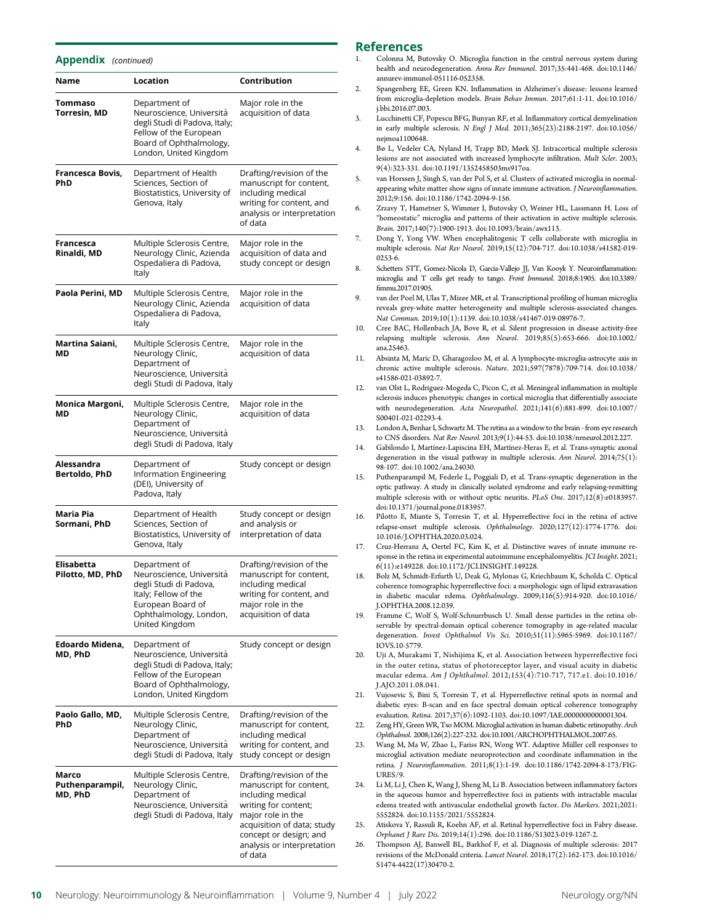#### Appendix (continued)

| Name                                | Location                                                                                                                                                     | Contribution                                                                                                                                                                                                           |
|-------------------------------------|--------------------------------------------------------------------------------------------------------------------------------------------------------------|------------------------------------------------------------------------------------------------------------------------------------------------------------------------------------------------------------------------|
| Tommaso<br><b>Torresin, MD</b>      | Department of<br>Neuroscience, Università<br>degli Studi di Padova, Italy;<br>Fellow of the European<br>Board of Ophthalmology,<br>London, United Kingdom    | Major role in the<br>acquisition of data                                                                                                                                                                               |
| Francesca Bovis,<br>PhD             | Department of Health<br>Sciences, Section of<br>Biostatistics, University of<br>Genova, Italy                                                                | Drafting/revision of the<br>manuscript for content,<br>including medical<br>writing for content, and<br>analysis or interpretation<br>of data                                                                          |
| Francesca<br>Rinaldi, MD            | Multiple Sclerosis Centre,<br>Neurology Clinic, Azienda<br>Ospedaliera di Padova,<br>Italy                                                                   | Major role in the<br>acquisition of data and<br>study concept or design                                                                                                                                                |
| Paola Perini, MD                    | Multiple Sclerosis Centre,<br>Neurology Clinic, Azienda<br>Ospedaliera di Padova,<br>Italy                                                                   | Major role in the<br>acquisition of data                                                                                                                                                                               |
| Martina Saiani,<br>МD               | Multiple Sclerosis Centre,<br>Neurology Clinic,<br>Department of<br>Neuroscience, Università<br>degli Studi di Padova, Italy                                 | Major role in the<br>acquisition of data                                                                                                                                                                               |
| Monica Margoni,<br>МD               | Multiple Sclerosis Centre,<br>Neurology Clinic,<br>Department of<br>Neuroscience, Università<br>degli Studi di Padova, Italy                                 | Major role in the<br>acquisition of data                                                                                                                                                                               |
| Alessandra<br>Bertoldo, PhD         | Department of<br>Information Engineering<br>(DEI), University of<br>Padova, Italy                                                                            | Study concept or design                                                                                                                                                                                                |
| Maria Pia<br>Sormani, PhD           | Department of Health<br>Sciences, Section of<br>Biostatistics, University of<br>Genova, Italy                                                                | Study concept or design<br>and analysis or<br>interpretation of data                                                                                                                                                   |
| Elisabetta<br>Pilotto, MD, PhD      | Department of<br>Neuroscience, Università<br>degli Studi di Padova,<br>Italy; Fellow of the<br>European Board of<br>Ophthalmology, London,<br>United Kingdom | Drafting/revision of the<br>manuscript for content,<br>including medical<br>writing for content, and<br>major role in the<br>acquisition of data                                                                       |
| Edoardo Midena,<br>MD, PhD          | Department of<br>Neuroscience, Università<br>degli Studi di Padova, Italy;<br>Fellow of the European<br>Board of Ophthalmology,<br>London, United Kingdom    | Study concept or design                                                                                                                                                                                                |
| Paolo Gallo, MD,<br>PhD             | Multiple Sclerosis Centre,<br>Neurology Clinic,<br>Department of<br>Neuroscience, Università<br>degli Studi di Padova, Italy                                 | Drafting/revision of the<br>manuscript for content,<br>including medical<br>writing for content, and<br>study concept or design                                                                                        |
| Marco<br>Puthenparampil,<br>MD, PhD | Multiple Sclerosis Centre,<br>Neurology Clinic,<br>Department of<br>Neuroscience, Università<br>degli Studi di Padova, Italy                                 | Drafting/revision of the<br>manuscript for content,<br>including medical<br>writing for content;<br>major role in the<br>acquisition of data; study<br>concept or design; and<br>analysis or interpretation<br>of data |

#### References

- 1. Colonna M, Butovsky O. Microglia function in the central nervous system during health and neurodegeneration. Annu Rev Immunol. 2017;35:441-468. doi:10.1146/ annurev-immunol-051116-052358.
- 2. Spangenberg EE, Green KN. Inflammation in Alzheimer's disease: lessons learned from microglia-depletion models. Brain Behav Immun. 2017;61:1-11. doi:10.1016/ j.bbi.2016.07.003.
- 3. Lucchinetti CF, Popescu BFG, Bunyan RF, et al. Inflammatory cortical demyelination in early multiple sclerosis. N Engl J Med. 2011;365(23):2188-2197. doi:10.1056/ nejmoa1100648.
- 4. Bø L, Vedeler CA, Nyland H, Trapp BD, Mørk SJ. Intracortical multiple sclerosis lesions are not associated with increased lymphocyte infiltration. Mult Scler. 2003; 9(4):323-331. doi:10.1191/1352458503ms917oa.
- 5. van Horssen J, Singh S, van der Pol S, et al. Clusters of activated microglia in normalappearing white matter show signs of innate immune activation. J Neuroinflammation. 2012;9:156. doi:10.1186/1742-2094-9-156.
- 6. Zrzavy T, Hametner S, Wimmer I, Butovsky O, Weiner HL, Lassmann H. Loss of "homeostatic" microglia and patterns of their activation in active multiple sclerosis. Brain. 2017;140(7):1900-1913. doi:10.1093/brain/awx113.
- 7. Dong Y, Yong VW. When encephalitogenic T cells collaborate with microglia in multiple sclerosis. Nat Rev Neurol. 2019;15(12):704-717. doi:10.1038/s41582-019- 0253-6.
- 8. Schetters STT, Gomez-Nicola D, Garcia-Vallejo JJ, Van Kooyk Y. Neuroinflammation: microglia and T cells get ready to tango. Front Immunol. 2018;8:1905. doi:10.3389/ fimmu.2017.01905.
- van der Poel M, Ulas T, Mizee MR, et al. Transcriptional profiling of human microglia reveals grey-white matter heterogeneity and multiple sclerosis-associated changes. Nat Commun. 2019;10(1):1139. doi:10.1038/s41467-019-08976-7.
- 10. Cree BAC, Hollenbach JA, Bove R, et al. Silent progression in disease activity-free relapsing multiple sclerosis. Ann Neurol. 2019;85(5):653-666. doi:10.1002/ ana.25463.
- 11. Absinta M, Maric D, Gharagozloo M, et al. A lymphocyte-microglia-astrocyte axis in chronic active multiple sclerosis. Nature. 2021;597(7878):709-714. doi:10.1038/ s41586-021-03892-7.
- 12. van Olst L, Rodriguez-Mogeda C, Picon C, et al. Meningeal inflammation in multiple sclerosis induces phenotypic changes in cortical microglia that differentially associate with neurodegeneration. Acta Neuropathol. 2021;141(6):881-899. doi:10.1007/ S00401-021-02293-4.
- 13. London A, Benhar I, Schwartz M. The retina as a window to the brain from eye research to CNS disorders. Nat Rev Neurol. 2013;9(1):44-53. doi:10.1038/nrneurol.2012.227.
- 14. Gabilondo I, Martínez-Lapiscina EH, Martínez-Heras E, et al. Trans-synaptic axonal degeneration in the visual pathway in multiple sclerosis. Ann Neurol. 2014;75(1): 98-107. doi:10.1002/ana.24030.
- 15. Puthenparampil M, Federle L, Poggiali D, et al. Trans-synaptic degeneration in the optic pathway. A study in clinically isolated syndrome and early relapsing-remitting multiple sclerosis with or without optic neuritis. PLoS One. 2017;12(8):e0183957. doi:10.1371/journal.pone.0183957.
- 16. Pilotto E, Miante S, Torresin T, et al. Hyperreflective foci in the retina of active relapse-onset multiple sclerosis. Ophthalmology. 2020;127(12):1774-1776. doi: 10.1016/J.OPHTHA.2020.03.024.
- 17. Cruz-Herranz A, Oertel FC, Kim K, et al. Distinctive waves of innate immune response in the retina in experimental autoimmune encephalomyelitis. JCI Insight. 2021; 6(11):e149228. doi:10.1172/JCI.INSIGHT.149228.
- 18. Bolz M, Schmidt-Erfurth U, Deak G, Mylonas G, Kriechbaum K, Scholda C. Optical coherence tomographic hyperreflective foci: a morphologic sign of lipid extravasation in diabetic macular edema. Ophthalmology. 2009;116(5):914-920. doi:10.1016/ J.OPHTHA.2008.12.039.
- 19. Framme C, Wolf S, Wolf-Schnurrbusch U. Small dense particles in the retina observable by spectral-domain optical coherence tomography in age-related macular degeneration. Invest Ophthalmol Vis Sci. 2010;51(11):5965-5969. doi:10.1167/ IOVS.10-5779.
- 20. Uji A, Murakami T, Nishijima K, et al. Association between hyperreflective foci in the outer retina, status of photoreceptor layer, and visual acuity in diabetic macular edema. Am J Ophthalmol. 2012;153(4):710-717, 717.e1. doi:10.1016/ J.AJO.2011.08.041.
- 21. Vujosevic S, Bini S, Torresin T, et al. Hyperreflective retinal spots in normal and diabetic eyes: B-scan and en face spectral domain optical coherence tomography evaluation. Retina. 2017;37(6):1092-1103. doi:10.1097/IAE.0000000000001304.
- 22. Zeng HY, Green WR, Tso MOM. Microglial activation in human diabetic retinopathy. Arch Ophthalmol. 2008;126(2):227-232. doi:10.1001/ARCHOPHTHALMOL.2007.65.
- 23. Wang M, Ma W, Zhao L, Fariss RN, Wong WT. Adaptive Müller cell responses to microglial activation mediate neuroprotection and coordinate inflammation in the retina. J Neuroinflammation. 2011;8(1):1-19. doi:10.1186/1742-2094-8-173/FIG-URES/9.
- 24. Li M, Li J, Chen K, Wang J, Sheng M, Li B. Association between inflammatory factors in the aqueous humor and hyperreflective foci in patients with intractable macular edema treated with antivascular endothelial growth factor. Dis Markers. 2021;2021: 5552824. doi:10.1155/2021/5552824.
- 25. Atiskova Y, Rassuli R, Koehn AF, et al. Retinal hyperreflective foci in Fabry disease. Orphanet J Rare Dis. 2019;14(1):296. doi:10.1186/S13023-019-1267-2.
- 26. Thompson AJ, Banwell BL, Barkhof F, et al. Diagnosis of multiple sclerosis: 2017 revisions of the McDonald criteria. Lancet Neurol. 2018;17(2):162-173. doi:10.1016/ S1474-4422(17)30470-2.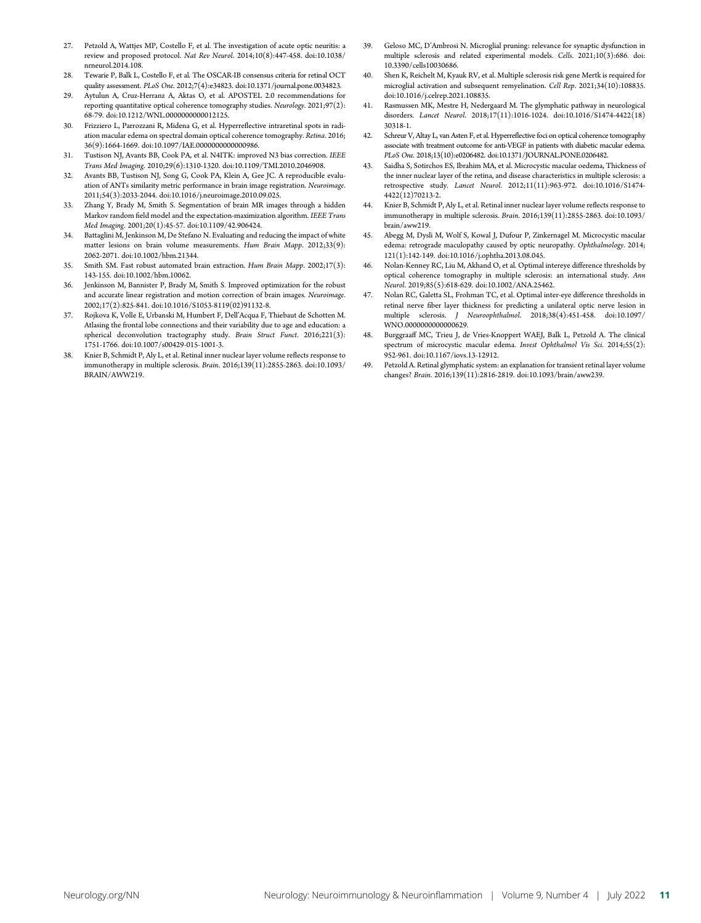- 27. Petzold A, Wattjes MP, Costello F, et al. The investigation of acute optic neuritis: a review and proposed protocol. Nat Rev Neurol. 2014;10(8):447-458. doi:10.1038/ nrneurol.2014.108.
- 28. Tewarie P, Balk L, Costello F, et al. The OSCAR-IB consensus criteria for retinal OCT quality assessment. PLoS One. 2012;7(4):e34823. doi:10.1371/journal.pone.0034823.
- 29. Aytulun A, Cruz-Herranz A, Aktas O, et al. APOSTEL 2.0 recommendations for reporting quantitative optical coherence tomography studies. Neurology.  $2021;97(2)$ : 68-79. doi:10.1212/WNL.0000000000012125.
- 30. Frizziero L, Parrozzani R, Midena G, et al. Hyperreflective intraretinal spots in radiation macular edema on spectral domain optical coherence tomography. Retina. 2016; 36(9):1664-1669. doi:10.1097/IAE.0000000000000986.
- 31. Tustison NJ, Avants BB, Cook PA, et al. N4ITK: improved N3 bias correction. IEEE Trans Med Imaging. 2010;29(6):1310-1320. doi:10.1109/TMI.2010.2046908.
- 32. Avants BB, Tustison NJ, Song G, Cook PA, Klein A, Gee JC. A reproducible evaluation of ANTs similarity metric performance in brain image registration. Neuroimage. 2011;54(3):2033-2044. doi:10.1016/j.neuroimage.2010.09.025.
- 33. Zhang Y, Brady M, Smith S. Segmentation of brain MR images through a hidden Markov random field model and the expectation-maximization algorithm. IEEE Trans Med Imaging. 2001;20(1):45-57. doi:10.1109/42.906424.
- 34. Battaglini M, Jenkinson M, De Stefano N. Evaluating and reducing the impact of white matter lesions on brain volume measurements. Hum Brain Mapp. 2012;33(9): 2062-2071. doi:10.1002/hbm.21344.
- 35. Smith SM. Fast robust automated brain extraction. Hum Brain Mapp. 2002;17(3): 143-155. doi:10.1002/hbm.10062.
- Jenkinson M, Bannister P, Brady M, Smith S. Improved optimization for the robust and accurate linear registration and motion correction of brain images. Neuroimage. 2002;17(2):825-841. doi:10.1016/S1053-8119(02)91132-8.
- 37. Rojkova K, Volle E, Urbanski M, Humbert F, Dell'Acqua F, Thiebaut de Schotten M. Atlasing the frontal lobe connections and their variability due to age and education: a spherical deconvolution tractography study. Brain Struct Funct. 2016;221(3): 1751-1766. doi:10.1007/s00429-015-1001-3.
- 38. Knier B, Schmidt P, Aly L, et al. Retinal inner nuclear layer volume reflects response to immunotherapy in multiple sclerosis. Brain. 2016;139(11):2855-2863. doi:10.1093/ BRAIN/AWW219.
- 39. Geloso MC, D'Ambrosi N. Microglial pruning: relevance for synaptic dysfunction in multiple sclerosis and related experimental models. Cells. 2021;10(3):686. doi: 10.3390/cells10030686.
- 40. Shen K, Reichelt M, Kyauk RV, et al. Multiple sclerosis risk gene Mertk is required for microglial activation and subsequent remyelination. Cell Rep. 2021;34(10):108835. doi:10.1016/j.celrep.2021.108835.
- 41. Rasmussen MK, Mestre H, Nedergaard M. The glymphatic pathway in neurological disorders. Lancet Neurol. 2018;17(11):1016-1024. doi:10.1016/S1474-4422(18) 30318-1.
- 42. Schreur V, Altay L, van Asten F, et al. Hyperreflective foci on optical coherence tomography associate with treatment outcome for anti-VEGF in patients with diabetic macular edema. PLoS One. 2018;13(10):e0206482. doi:10.1371/JOURNAL.PONE.0206482.
- 43. Saidha S, Sotirchos ES, Ibrahim MA, et al. Microcystic macular oedema, Thickness of the inner nuclear layer of the retina, and disease characteristics in multiple sclerosis: a retrospective study. Lancet Neurol. 2012;11(11):963-972. doi:10.1016/S1474- 4422(12)70213-2.
- Knier B, Schmidt P, Aly L, et al. Retinal inner nuclear layer volume reflects response to immunotherapy in multiple sclerosis. Brain. 2016;139(11):2855-2863. doi:10.1093/ brain/aww219.
- 45. Abegg M, Dysli M, Wolf S, Kowal J, Dufour P, Zinkernagel M. Microcystic macular edema: retrograde maculopathy caused by optic neuropathy. Ophthalmology. 2014; 121(1):142-149. doi:10.1016/j.ophtha.2013.08.045.
- 46. Nolan-Kenney RC, Liu M, Akhand O, et al. Optimal intereye difference thresholds by optical coherence tomography in multiple sclerosis: an international study. Ann Neurol. 2019;85(5):618-629. doi:10.1002/ANA.25462.
- 47. Nolan RC, Galetta SL, Frohman TC, et al. Optimal inter-eye difference thresholds in retinal nerve fiber layer thickness for predicting a unilateral optic nerve lesion in multiple sclerosis. J Neuroophthalmol. 2018;38(4):451-458. doi:10.1097/ WNO.0000000000000629.
- 48. Burggraaff MC, Trieu J, de Vries-Knoppert WAEJ, Balk L, Petzold A. The clinical spectrum of microcystic macular edema. Invest Ophthalmol Vis Sci. 2014;55(2): 952-961. doi:10.1167/iovs.13-12912.
- Petzold A. Retinal glymphatic system: an explanation for transient retinal layer volume changes? Brain. 2016;139(11):2816-2819. doi:10.1093/brain/aww239.